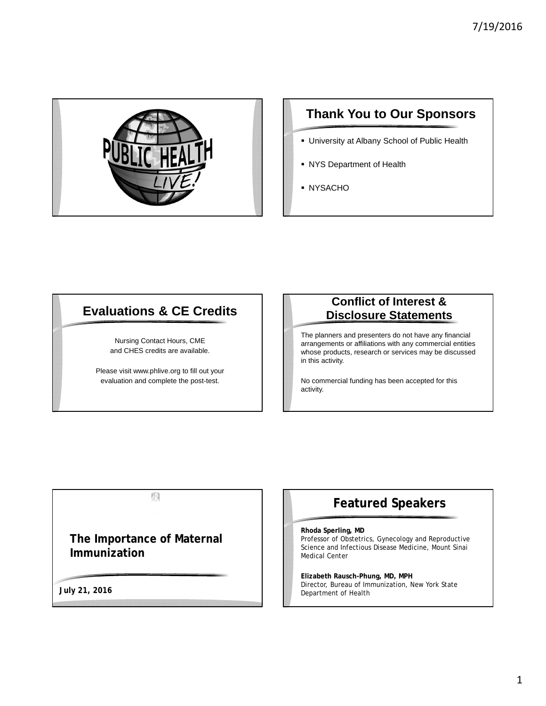

# **Thank You to Our Sponsors**

- University at Albany School of Public Health
- NYS Department of Health
- **NYSACHO**

# **Evaluations & CE Credits**

Nursing Contact Hours, CME and CHES credits are available.

Please visit www.phlive.org to fill out your evaluation and complete the post-test.

#### **Conflict of Interest & Disclosure Statements**

The planners and presenters do not have any financial arrangements or affiliations with any commercial entities whose products, research or services may be discussed in this activity.

No commercial funding has been accepted for this activity.

图

**The Importance of Maternal Immunization**

**July 21, 2016**

# **Featured Speakers**

#### **Rhoda Sperling, MD**

Professor of Obstetrics, Gynecology and Reproductive Science and Infectious Disease Medicine, Mount Sinai Medical Center

**Elizabeth Rausch-Phung, MD, MPH** Director, Bureau of Immunization, New York State Department of Health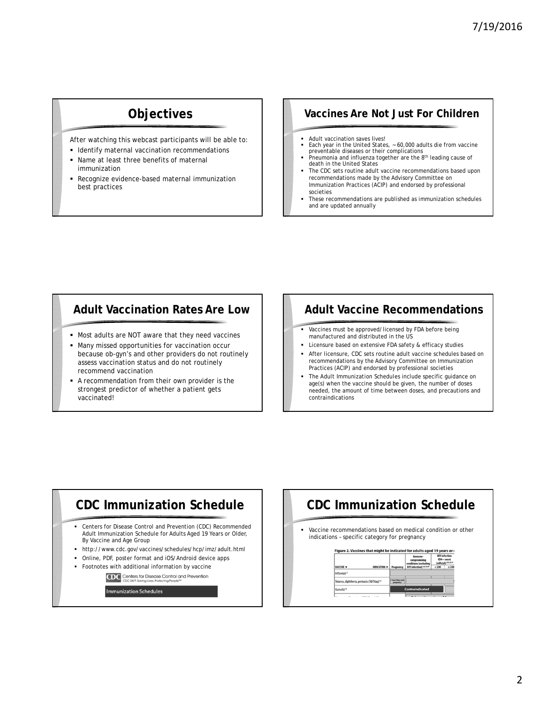# **Objectives**

After watching this webcast participants will be able to:

- **Identify maternal vaccination recommendations**
- Name at least three benefits of maternal immunization
- Recognize evidence-based maternal immunization best practices

#### **Vaccines Are Not Just For Children**

- Adult vaccination saves lives!<br>• Fach year in the United State
- Each year in the United States, ~ 60,000 adults die from vaccine preventable diseases or their complications
- Preumonia and influenza together are the 8<sup>th</sup> leading cause of death in the United States
- The CDC sets routine adult vaccine recommendations based upon recommendations made by the Advisory Committee on Immunization Practices (ACIP) and endorsed by professional societies
- These recommendations are published as immunization schedules and are updated annually

#### **Adult Vaccination Rates Are Low**

- Most adults are NOT aware that they need vaccines
- Many missed opportunities for vaccination occur because ob-gyn's and other providers do not routinely assess vaccination status and do not routinely recommend vaccination
- A recommendation from their own provider is the strongest predictor of whether a patient gets vaccinated!

## **Adult Vaccine Recommendations**

- Vaccines must be approved/licensed by FDA before being manufactured and distributed in the US
- Licensure based on extensive FDA safety & efficacy studies
- After licensure, CDC sets routine adult vaccine schedules based on recommendations by the Advisory Committee on Immunization Practices (ACIP) and endorsed by professional societies
- The *Adult Immunization Schedules* include specific guidance on age(s) when the vaccine should be given, the number of doses needed, the amount of time between doses, and precautions and contraindications



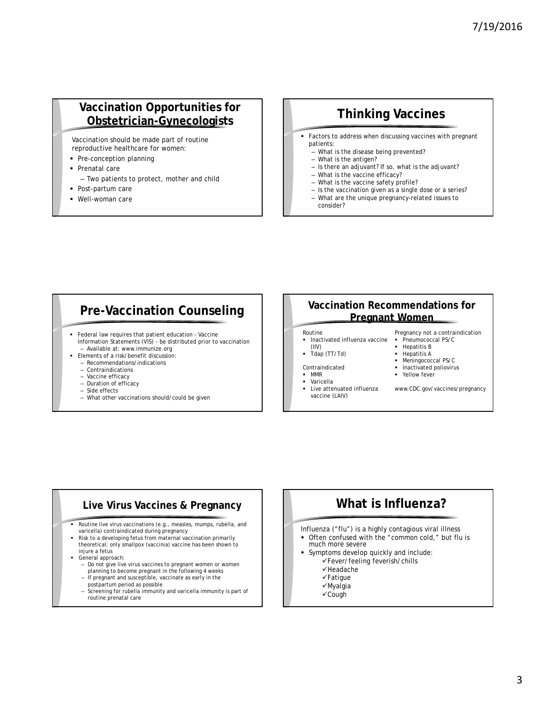# **Vaccination Opportunities for Obstetrician-Gynecologists**

Vaccination should be made part of routine reproductive healthcare for women:

- Pre-conception planning
- **Prenatal care** 
	- Two patients to protect, mother and child
- Post-partum care
- Well-woman care

# **Thinking Vaccines**

- Factors to address when discussing vaccines with pregnant patients:
	- What is the disease being prevented?
	- What is the antigen?
	- Is there an adjuvant? If so, what is the adjuvant?
	- What is the vaccine efficacy?
	- What is the vaccine safety profile?
	- Is the vaccination given as a single dose or a series? – What are the unique pregnancy-related issues to
	- consider?

#### **Pre-Vaccination Counseling**

- Federal law requires that patient education Vaccine Information Statements (VIS) - be distributed prior to vaccination – Available at: www.immunize.org
- **Elements of a risk/benefit discussion:** 
	- Recommendations/indications
	- Contraindications
	- Vaccine efficacy
	- Duration of efficacy – Side effects
	- What other vaccinations should/could be given

#### **Vaccination Recommendations for Pregnant Women**

#### Routine

- Inactivated influenza vaccine (IIV)  $\overline{\phantom{a}}$  Tdap (TT/Td)
- Hepatitis B Hepatitis A
- **Meningococcal PS/C**
- Inactivated poliovirus
- Yellow fever
- MMR Varicella
- 

Contraindicated

- Live attenuated influenza vaccine (LAIV)
- www.CDC.gov/vaccines/pregnancy

Pregnancy *not* a contraindication Pneumococcal PS/C

# **Live Virus Vaccines & Pregnancy**

- Routine live virus vaccinations (e.g., measles, mumps, rubella, and varicella) contraindicated during pregnancy
- Risk to a developing fetus from maternal vaccination primarily theoretical; only smallpox (vaccinia) vaccine has been shown to injure a fetus
	- General approach:
	- Do not give live virus vaccines to pregnant women or women planning to become pregnant in the following 4 weeks
	- If pregnant and susceptible, vaccinate as early in the postpartum period as possible
	- Screening for rubella immunity and varicella immunity is part of routine prenatal care

# **What is Influenza?**

- Influenza ("flu") is a highly contagious viral illness
- Often confused with the "common cold," but flu is much more severe
- Symptoms develop quickly and include:
	- Fever/feeling feverish/chills
		- $\checkmark$ Headache  $\checkmark$ Fatique
		- Myalgia
		-
		- Cough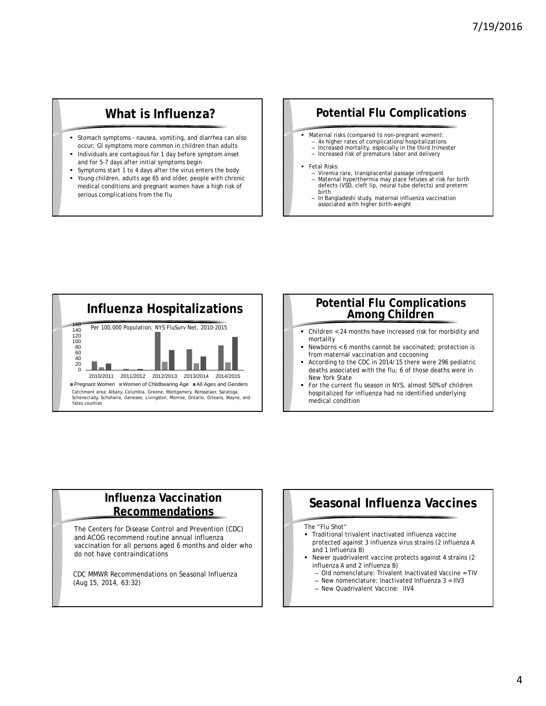# **What is Influenza?**

- Stomach symptoms nausea, vomiting, and diarrhea can also occur; GI symptoms more common in children than adults
- Individuals are contagious for 1 day before symptom onset and for 5-7 days after initial symptoms begin
- Symptoms start 1 to 4 days after the virus enters the body Young children, adults age 65 and older, people with chronic medical conditions and pregnant women have a high risk of serious complications from the flu

## **Potential Flu Complications**

- **Maternal risks (compared to non-pregnant women):** 
	- 4x higher rates of complications/hospitalizations
	- Increased mortality, especially in the third trimester – Increased risk of premature labor and delivery
- Fetal Risks:
	- Viremia rare, transplacental passage infrequent Maternal hyperthermia may place fetuses at risk for birth defects (VSD, cleft lip, neural tube defects) and preterm birth
	- In Bangladeshi study, maternal influenza vaccination associated with higher birth-weight



#### **Potential Flu Complications Among Children**

- mortality
- Newborns < 6 months cannot be vaccinated; protection is from maternal vaccination and cocooning
- According to the CDC in 2014/15 there were 296 pediatric deaths associated with the flu; 6 of those deaths were in New York State
- For the current flu season in NYS, almost 50% of children hospitalized for influenza had no identified underlying medical condition

#### **Influenza Vaccination Recommendations**

The Centers for Disease Control and Prevention (CDC) and ACOG recommend routine annual influenza vaccination for all persons aged 6 months and older who do not have contraindications

CDC MMWR Recommendations on Seasonal Influenza (Aug 15, 2014, 63:32)

# **Seasonal Influenza Vaccines**

#### The "Flu Shot"

- Traditional trivalent inactivated influenza vaccine protected against 3 influenza virus strains (2 influenza A and 1 Influenza B)
	- Newer quadrivalent vaccine protects against 4 strains (2 influenza A and 2 influenza B)
	- Old nomenclature: Trivalent Inactivated Vaccine = TIV
	- New nomenclature: Inactivated Influenza 3 = IIV3
	- New Quadrivalent Vaccine: IIV4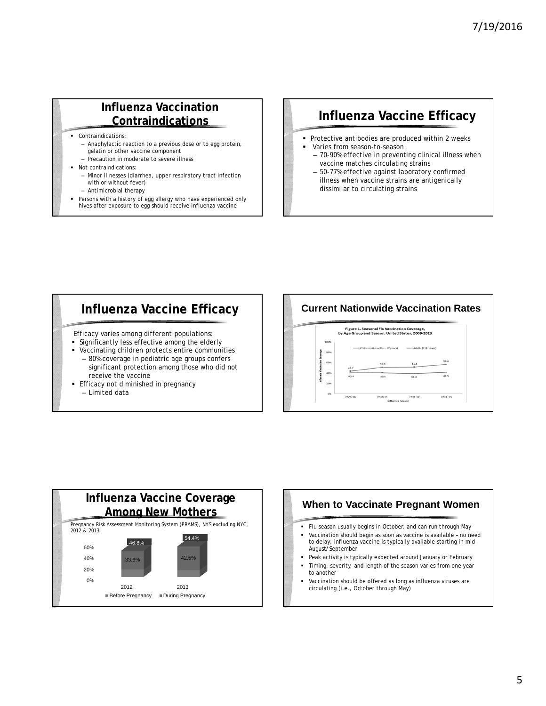#### **Influenza Vaccination Contraindications**

Contraindications:

- Anaphylactic reaction to a previous dose or to egg protein, gelatin or other vaccine component
- Precaution in moderate to severe illness
- Not contraindications:
- - Minor illnesses (diarrhea, upper respiratory tract infection with or without fever)
- Antimicrobial therapy
- Persons with a history of egg allergy who have experienced only hives after exposure to egg should receive influenza vaccine

# **Influenza Vaccine Efficacy**

- **Protective antibodies are produced within 2 weeks**  Varies from season-to-season
	- 70-90% effective in preventing clinical illness when vaccine matches circulating strains
	- 50-77% effective against laboratory confirmed illness when vaccine strains are antigenically dissimilar to circulating strains

Efficacy varies among different populations:

- Significantly less effective among the elderly
- Vaccinating children protects entire communities – 80% coverage in pediatric age groups confers significant protection among those who did not receive the vaccine
- **Efficacy not diminished in pregnancy** 
	- Limited data

#### **Influenza Vaccine Efficacy | | Current Nationwide Vaccination Rates**





# **When to Vaccinate Pregnant Women**

- 
- Vaccination should begin as soon as vaccine is available no need to delay; influenza vaccine is typically available starting in mid August/September
- Peak activity is typically expected around January or February Timing, severity, and length of the season varies from one year
- to another Vaccination should be offered as long as influenza viruses are circulating (i.e., *October* through *May)*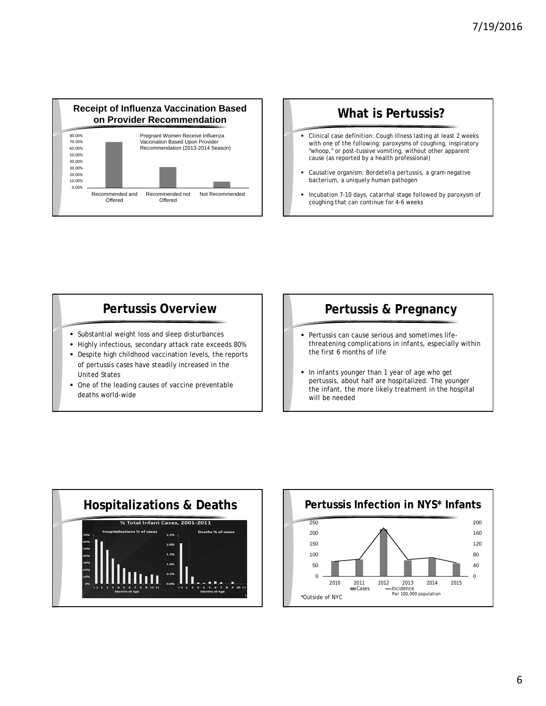

# **What is Pertussis?**

- Clinical case definition: Cough illness lasting at least 2 weeks with one of the following: paroxysms of coughing, inspiratory "whoop," or post-tussive vomiting, without other apparent cause (as reported by a health professional)
- Causative organism: *Bordetella pertussis*, a gram-negative bacterium, a uniquely human pathogen
- Incubation 7-10 days, catarrhal stage followed by paroxysm of coughing that can continue for 4-6 weeks

# **Pertussis Overview**

- Substantial weight loss and sleep disturbances
- Highly infectious, secondary attack rate exceeds 80%
- Despite high childhood vaccination levels, the reports of pertussis cases have steadily increased in the United States
- One of the leading causes of vaccine preventable deaths world-wide

# **Pertussis & Pregnancy**

- Pertussis can cause serious and sometimes lifethreatening complications in infants, especially within the first 6 months of life
- In infants younger than 1 year of age who get pertussis, about half are hospitalized. The younger the infant, the more likely treatment in the hospital will be needed



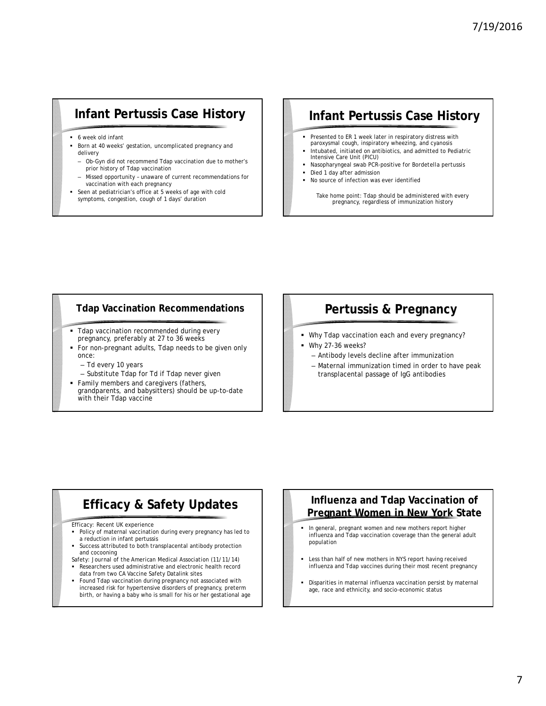# **Infant Pertussis Case History**

- 6 week old infant
- Born at 40 weeks' gestation, uncomplicated pregnancy and delivery
- Ob-Gyn did not recommend Tdap vaccination due to mother's prior history of Tdap vaccination
- Missed opportunity unaware of current recommendations for vaccination with each pregnancy
- Seen at pediatrician's office at 5 weeks of age with cold symptoms, congestion, cough of 1 days' duration

# **Infant Pertussis Case History**

- **Presented to ER 1 week later in respiratory distress with** paroxysmal cough, inspiratory wheezing, and cyanosis
- Intubated, initiated on antibiotics, and admitted to Pediatric Intensive Care Unit (PICU)
- Nasopharyngeal swab PCR-positive for *Bordetella pertussis*
- Died 1 day after admission
- No source of infection was ever identified

Take home point: Tdap should be administered with every pregnancy, regardless of immunization history

#### **Tdap Vaccination Recommendations**

- **Tdap vaccination recommended during every** pregnancy, preferably at 27 to 36 weeks
- For non-pregnant adults, Tdap needs to be given only once:
	- Td every 10 years
	- Substitute Tdap for Td if Tdap never given
- Family members and caregivers (fathers, grandparents, and babysitters) should be up-to-date with their Tdap vaccine

## **Pertussis & Pregnancy**

- Why Tdap vaccination each and every pregnancy?
- Why 27-36 weeks?
	- Antibody levels decline after immunization
	- Maternal immunization timed in order to have peak transplacental passage of IgG antibodies

# **Efficacy & Safety Updates**

#### Efficacy: Recent UK experience

- **Policy of maternal vaccination during every pregnancy has led to** a reduction in infant pertussis
- Success attributed to both transplacental antibody protection and cocooning

Safety: *Journal of the American Medical Association (*11/11/14) Researchers used administrative and electronic health record data from two CA Vaccine Safety Datalink sites

 Found Tdap vaccination during pregnancy not associated with increased risk for hypertensive disorders of pregnancy, preterm birth, or having a baby who is small for his or her gestational age

#### **Influenza and Tdap Vaccination of Pregnant Women in New York State**

- In general, pregnant women and new mothers report higher influenza and Tdap vaccination coverage than the general adult population
- Less than half of new mothers in NYS report having received influenza and Tdap vaccines during their most recent pregnancy
- Disparities in maternal influenza vaccination persist by maternal age, race and ethnicity, and socio-economic status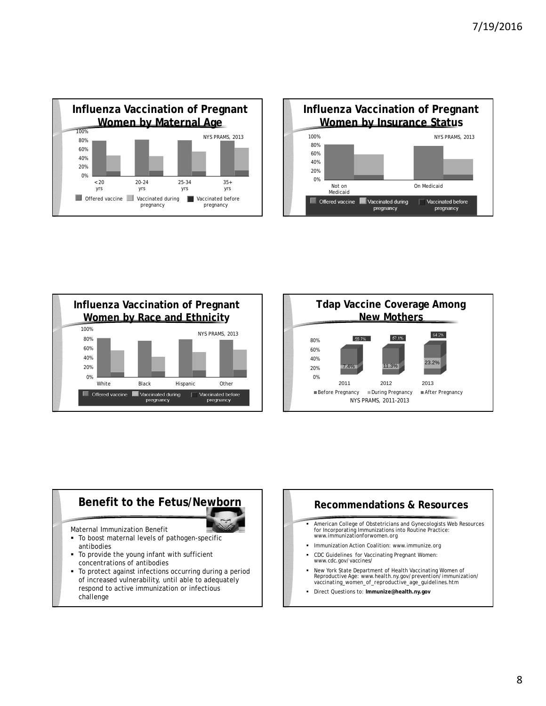